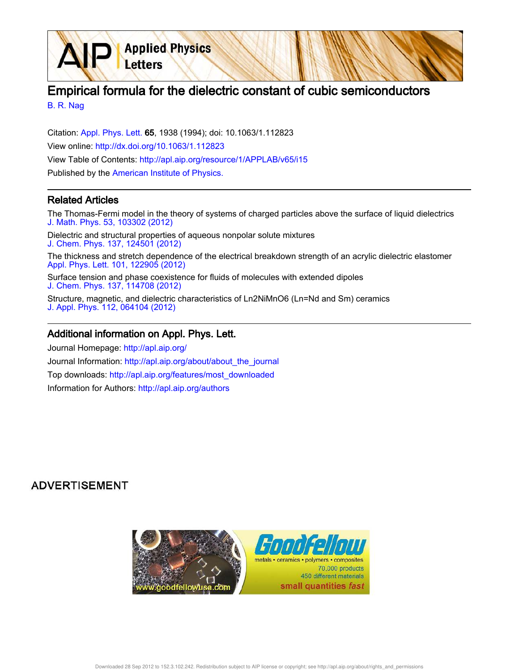Empirical formula for the dielectric constant of cubic semiconductors

B. R. Nag

Citation: Appl. Phys. Lett. 65, 1938 (1994); doi: 10.1063/1.112823 View online: http://dx.doi.org/10.1063/1.112823 View Table of Contents: http://apl.aip.org/resource/1/APPLAB/v65/i15 Published by the American Institute of Physics.

**Applied Physics** 

Letters

## Related Articles

The Thomas-Fermi model in the theory of systems of charged particles above the surface of liquid dielectrics J. Math. Phys. 53, 103302 (2012)

Dielectric and structural properties of aqueous nonpolar solute mixtures J. Chem. Phys. 137, 124501 (2012)

The thickness and stretch dependence of the electrical breakdown strength of an acrylic dielectric elastomer Appl. Phys. Lett. 101, 122905 (2012)

Surface tension and phase coexistence for fluids of molecules with extended dipoles J. Chem. Phys. 137, 114708 (2012)

Structure, magnetic, and dielectric characteristics of Ln2NiMnO6 (Ln=Nd and Sm) ceramics J. Appl. Phys. 112, 064104 (2012)

## Additional information on Appl. Phys. Lett.

Journal Homepage: http://apl.aip.org/ Journal Information: http://apl.aip.org/about/about\_the\_journal Top downloads: http://apl.aip.org/features/most\_downloaded Information for Authors: http://apl.aip.org/authors

## **ADVERTISEMENT**

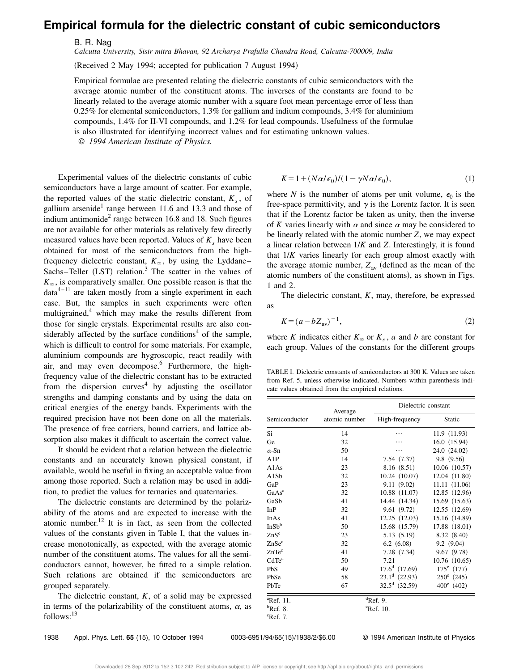## **Empirical formula for the dielectric constant of cubic semiconductors**

B. R. Nag

*Calcutta University, Sisir mitra Bhavan, 92 Archarya Prafulla Chandra Road, Calcutta-700009, India*

(Received 2 May 1994; accepted for publication 7 August 1994)

Empirical formulae are presented relating the dielectric constants of cubic semiconductors with the average atomic number of the constituent atoms. The inverses of the constants are found to be linearly related to the average atomic number with a square foot mean percentage error of less than 0.25% for elemental semiconductors, 1.3% for gallium and indium compounds, 3.4% for aluminium compounds, 1.4% for II-VI compounds, and 1.2% for lead compounds. Usefulness of the formulae is also illustrated for identifying incorrect values and for estimating unknown values.

© *1994 American Institute of Physics.*

Experimental values of the dielectric constants of cubic semiconductors have a large amount of scatter. For example, the reported values of the static dielectric constant,  $K_s$ , of gallium arsenide<sup>1</sup> range between 11.6 and 13.3 and those of indium antimonide<sup>2</sup> range between 16.8 and 18. Such figures are not available for other materials as relatively few directly measured values have been reported. Values of  $K_s$  have been obtained for most of the semiconductors from the highfrequency dielectric constant,  $K_{\infty}$ , by using the Lyddane– Sachs–Teller  $(LST)$  relation.<sup>3</sup> The scatter in the values of  $K_{\infty}$ , is comparatively smaller. One possible reason is that the  $data^{4-11}$  are taken mostly from a single experiment in each case. But, the samples in such experiments were often multigrained, $4$  which may make the results different from those for single erystals. Experimental results are also considerably affected by the surface conditions<sup>4</sup> of the sample, which is difficult to control for some materials. For example, aluminium compounds are hygroscopic, react readily with air, and may even decompose.<sup>6</sup> Furthermore, the highfrequency value of the dielectric constant has to be extracted from the dispersion curves<sup>4</sup> by adjusting the oscillator strengths and damping constants and by using the data on critical energies of the energy bands. Experiments with the required precision have not been done on all the materials. The presence of free carriers, bound carriers, and lattice absorption also makes it difficult to ascertain the correct value.

It should be evident that a relation between the dielectric constants and an accurately known physical constant, if available, would be useful in fixing an acceptable value from among those reported. Such a relation may be used in addition, to predict the values for ternaries and quaternaries.

The dielectric constants are determined by the polarizability of the atoms and are expected to increase with the atomic number.<sup>12</sup> It is in fact, as seen from the collected values of the constants given in Table I, that the values increase monotonically, as expected, with the average atomic number of the constituent atoms. The values for all the semiconductors cannot, however, be fitted to a simple relation. Such relations are obtained if the semiconductors are grouped separately.

The dielectric constant,  $K$ , of a solid may be expressed in terms of the polarizability of the constituent atoms,  $\alpha$ , as  $follows:<sup>13</sup>$ 

$$
K = 1 + (N\alpha/\epsilon_0)/(1 - \gamma N\alpha/\epsilon_0),\tag{1}
$$

where *N* is the number of atoms per unit volume,  $\epsilon_0$  is the free-space permittivity, and  $\gamma$  is the Lorentz factor. It is seen that if the Lorentz factor be taken as unity, then the inverse of K varies linearly with  $\alpha$  and since  $\alpha$  may be considered to be linearly related with the atomic number *Z*, we may expect a linear relation between 1/*K* and *Z*. Interestingly, it is found that 1/*K* varies linearly for each group almost exactly with the average atomic number,  $Z_{av}$  (defined as the mean of the atomic numbers of the constituent atoms), as shown in Figs. 1 and 2.

The dielectric constant, *K*, may, therefore, be expressed as

$$
K = (a - bZ_{\text{av}})^{-1},\tag{2}
$$

where *K* indicates either  $K_{\infty}$  or  $K_s$ , *a* and *b* are constant for each group. Values of the constants for the different groups

TABLE I. Dielectric constants of semiconductors at 300 K. Values are taken from Ref. 5, unless otherwise indicated. Numbers within parenthesis indicate values obtained from the empirical relations.

|                     | Average             | Dielectric constant    |               |  |  |  |
|---------------------|---------------------|------------------------|---------------|--|--|--|
| Semiconductor       | atomic number       | High-frequency         | Static        |  |  |  |
| Si                  | 14                  |                        | 11.9 (11.93)  |  |  |  |
| Ge                  | 32                  |                        | 16.0(15.94)   |  |  |  |
| $\alpha$ -Sn        | 50                  |                        | 24.0 (24.02)  |  |  |  |
| A1P                 | 14                  | 7.54(7.37)             | 9.8 (9.56)    |  |  |  |
| A1As                | 23                  | 8.16 (8.51)            | 10.06(10.57)  |  |  |  |
| A1Sb                | 32                  | 10.24(10.07)           | 12.04 (11.80) |  |  |  |
| GaP                 | 23                  | 9.11(9.02)             | 11.11 (11.06) |  |  |  |
| GaAs <sup>a</sup>   | 32                  | 10.88 (11.07)          | 12.85 (12.96) |  |  |  |
| GaSb                | 41                  | 14.44 (14.34)          | 15.69 (15.63) |  |  |  |
| InP                 | 32                  | 9.61(9.72)             | 12.55 (12.69) |  |  |  |
| InAs                | 41                  | 12.25 (12.03)          | 15.16 (14.89) |  |  |  |
| InSb <sup>b</sup>   | 50                  | 15.68 (15.79)          | 17.88 (18.01) |  |  |  |
| ZnS <sup>c</sup>    | 23                  | 5.13 (5.19)            | 8.32 (8.40)   |  |  |  |
| ZnSe <sup>c</sup>   | 32                  | 6.2(6.08)              | 9.2(9.04)     |  |  |  |
| ZnTe <sup>c</sup>   | 41                  | 7.28(7.34)             | 9.67(9.78)    |  |  |  |
| CdTe <sup>c</sup>   | 50                  | 7.21                   | 10.76 (10.65) |  |  |  |
| PbS                 | 49                  | $17.6d$ (17.69)        | $175^e$ (177) |  |  |  |
| PbSe                | 58                  | $23.1d$ (22.93)        | $250^e$ (245) |  |  |  |
| PbTe                | 67                  | $32.5^d$ (32.59)       | $400^e$ (402) |  |  |  |
| $^{\rm a}$ Ref. 11. |                     | $\overline{d}$ Ref. 9. |               |  |  |  |
| $^{\rm b}$ Ref. 8.  | $^{\rm e}$ Ref. 10. |                        |               |  |  |  |
| $^{\rm c}$ Ref. 7.  |                     |                        |               |  |  |  |